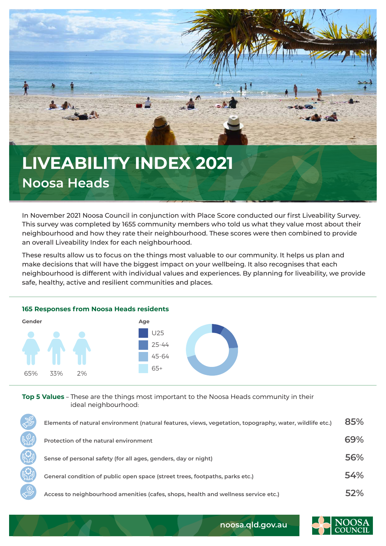

## **Noosa Heads**

In November 2021 Noosa Council in conjunction with Place Score conducted our first Liveability Survey. This survey was completed by 1655 community members who told us what they value most about their neighbourhood and how they rate their neighbourhood. These scores were then combined to provide an overall Liveability Index for each neighbourhood.

These results allow us to focus on the things most valuable to our community. It helps us plan and make decisions that will have the biggest impact on your wellbeing. It also recognises that each neighbourhood is different with individual values and experiences. By planning for liveability, we provide safe, healthy, active and resilient communities and places.



**Top 5 Values** – These are the things most important to the Noosa Heads community in their ideal neighbourhood:

| Elements of natural environment (natural features, views, vegetation, topography, water, wildlife etc.) | 85% |
|---------------------------------------------------------------------------------------------------------|-----|
| Protection of the natural environment                                                                   | 69% |
| Sense of personal safety (for all ages, genders, day or night)                                          | 56% |
| General condition of public open space (street trees, footpaths, parks etc.)                            | 54% |
| Access to neighbourhood amenities (cafes, shops, health and wellness service etc.)                      | 52% |



**noosa.qld.gov.au**